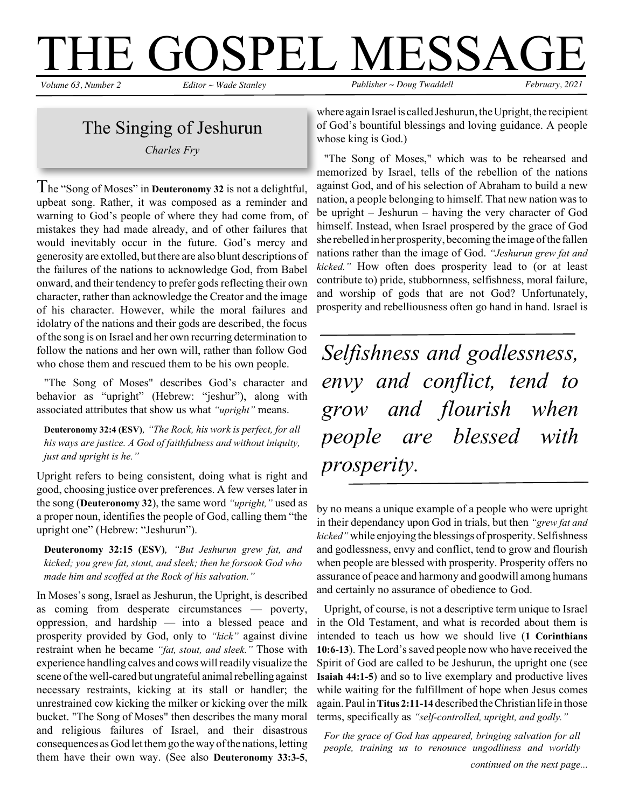#### $\rm I\hskip-1pt E$   $\rm GOSPEL$   $\rm MESSAGF$ <br>amber 2 Editor - Wade Stanley *Volume 63, Number 2 Editor ~ Wade Stanley Publisher ~ Doug Twaddell February, 2021*

### The Singing of Jeshurun

*Charles Fry*

The "Song of Moses" in **Deuteronomy <sup>32</sup>** is not <sup>a</sup> delightful, upbeat song. Rather, it was composed as a reminder and warning to God's people of where they had come from, of mistakes they had made already, and of other failures that would inevitably occur in the future. God's mercy and generosity are extolled, but there are also blunt descriptions of the failures of the nations to acknowledge God, from Babel onward, and their tendency to prefer godsreflecting their own character, rather than acknowledge the Creator and the image of his character. However, while the moral failures and idolatry of the nations and their gods are described, the focus ofthe song is on Israel and her own recurring determination to follow the nations and her own will, rather than follow God who chose them and rescued them to be his own people.

"The Song of Moses" describes God's character and behavior as "upright" (Hebrew: "jeshur"), along with associated attributes that show us what *"upright"* means.

**Deuteronomy 32:4 (ESV)***, "The Rock, his work is perfect, for all his ways are justice. A God of faithfulness and without iniquity, just and upright is he."*

Upright refers to being consistent, doing what is right and good, choosing justice over preferences. A few verses later in the song (**Deuteronomy 32**), the same word *"upright,"* used as a proper noun, identifies the people of God, calling them "the upright one" (Hebrew: "Jeshurun").

**Deuteronomy 32:15 (ESV)***, "But Jeshurun grew fat, and kicked; you grew fat, stout, and sleek; then he forsook God who made him and scoffed at the Rock of his salvation."*

In Moses's song, Israel as Jeshurun, the Upright, is described as coming from desperate circumstances — poverty, oppression, and hardship — into a blessed peace and prosperity provided by God, only to *"kick"* against divine restraint when he became *"fat, stout, and sleek."* Those with experience handling calves and cows willreadily visualize the scene of the well-cared but ungrateful animal rebelling against necessary restraints, kicking at its stall or handler; the unrestrained cow kicking the milker or kicking over the milk bucket. "The Song of Moses" then describes the many moral and religious failures of Israel, and their disastrous consequences as God let them go the way of the nations, letting them have their own way. (See also **Deuteronomy 33:3-5**,

where again Israel is called Jeshurun, the Upright, the recipient of God's bountiful blessings and loving guidance. A people whose king is God.)

"The Song of Moses," which was to be rehearsed and memorized by Israel, tells of the rebellion of the nations against God, and of his selection of Abraham to build a new nation, a people belonging to himself. That new nation wasto be upright – Jeshurun – having the very character of God himself. Instead, when Israel prospered by the grace of God she rebelled in her prosperity, becoming the image ofthe fallen nations rather than the image of God. *"Jeshurun grew fat and kicked."* How often does prosperity lead to (or at least contribute to) pride, stubbornness, selfishness, moral failure, and worship of gods that are not God? Unfortunately, prosperity and rebelliousness often go hand in hand. Israel is

*Selfishness and godlessness, envy and conflict, tend to grow and flourish when people are blessed with prosperity.*

by no means a unique example of a people who were upright in their dependancy upon God in trials, but then *"grew fat and kicked"* while enjoying the blessings of prosperity. Selfishness and godlessness, envy and conflict, tend to grow and flourish when people are blessed with prosperity. Prosperity offers no assurance of peace and harmony and goodwill among humans and certainly no assurance of obedience to God.

Upright, of course, is not a descriptive term unique to Israel in the Old Testament, and what is recorded about them is intended to teach us how we should live (**1 Corinthians 10:6-13**). The Lord'ssaved people now who have received the Spirit of God are called to be Jeshurun, the upright one (see **Isaiah 44:1-5**) and so to live exemplary and productive lives while waiting for the fulfillment of hope when Jesus comes again.Paulin**Titus 2:11-14** described theChristian life in those terms, specifically as *"self-controlled, upright, and godly."*

*For the grace of God has appeared, bringing salvation for all people, training us to renounce ungodliness and worldly*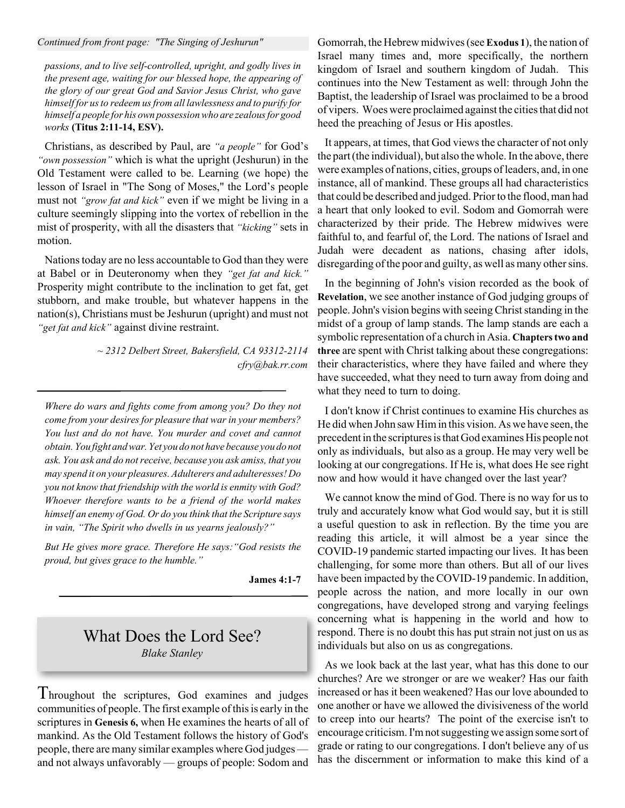#### *Continued from front page: "The Singing of Jeshurun"*

*passions, and to live self-controlled, upright, and godly lives in the present age, waiting for our blessed hope, the appearing of the glory of our great God and Savior Jesus Christ, who gave himself for usto redeem usfrom all lawlessness and to purify for himself a people for his own possessionwho are zealousfor good works* **(Titus 2:11-14, ESV).**

Christians, as described by Paul, are *"a people"* for God's *"own possession"* which is what the upright (Jeshurun) in the Old Testament were called to be. Learning (we hope) the lesson of Israel in "The Song of Moses," the Lord's people must not *"grow fat and kick"* even if we might be living in a culture seemingly slipping into the vortex of rebellion in the mist of prosperity, with all the disasters that *"kicking"* sets in motion.

Nationstoday are no less accountable to God than they were at Babel or in Deuteronomy when they *"get fat and kick."* Prosperity might contribute to the inclination to get fat, get stubborn, and make trouble, but whatever happens in the nation(s), Christians must be Jeshurun (upright) and must not *"get fat and kick"* against divine restraint.

> *~ 2312 Delbert Street, Bakersfield, CA 93312-2114 cfry@bak.rr.com*

*Where do wars and fights come from among you? Do they not come from your desires for pleasure that war in your members? You lust and do not have. You murder and covet and cannot obtain.You fight andwar.Yet you do not have because you do not ask. You ask and do notreceive, because you ask amiss, that you may spend it on your pleasures. Adulterers and adulteresses! Do you not know that friendship with the world is enmity with God? Whoever therefore wants to be a friend of the world makes himself an enemy of God. Or do you think that the Scripture says in vain, "The Spirit who dwells in us yearns jealously?"*

*But He gives more grace. Therefore He says:"God resists the proud, but gives grace to the humble."*

**James 4:1-7**

#### What Does the Lord See? *Blake Stanley*

Throughout the scriptures, God examines and judges communities of people. The first example ofthisis early in the scriptures in **Genesis 6,** when He examines the hearts of all of mankind. As the Old Testament follows the history of God's people, there are many similar examples where God judges and not always unfavorably — groups of people: Sodom and

Gomorrah, the Hebrew midwives(see **Exodus 1**), the nation of Israel many times and, more specifically, the northern kingdom of Israel and southern kingdom of Judah. This continues into the New Testament as well: through John the Baptist, the leadership of Israel was proclaimed to be a brood of vipers. Woes were proclaimed against the citiesthat did not heed the preaching of Jesus or His apostles.

It appears, at times, that God views the character of not only the part(the individual), but also the whole.In the above, there were examples of nations, cities, groups of leaders, and, in one instance, all of mankind. These groups all had characteristics that could be described and judged. Prior to the flood, man had a heart that only looked to evil. Sodom and Gomorrah were characterized by their pride. The Hebrew midwives were faithful to, and fearful of, the Lord. The nations of Israel and Judah were decadent as nations, chasing after idols, disregarding of the poor and guilty, as well as many other sins.

In the beginning of John's vision recorded as the book of **Revelation**, we see another instance of God judging groups of people. John's vision begins with seeing Christ standing in the midst of a group of lamp stands. The lamp stands are each a symbolic representation of a church in Asia. **Chapterstwo and three** are spent with Christ talking about these congregations: their characteristics, where they have failed and where they have succeeded, what they need to turn away from doing and what they need to turn to doing.

I don't know if Christ continues to examine His churches as He did when John saw Himin this vision. As we have seen, the precedent in the scriptures is that God examines His people not only as individuals, but also as a group. He may very well be looking at our congregations. If He is, what does He see right now and how would it have changed over the last year?

We cannot know the mind of God. There is no way for us to truly and accurately know what God would say, but it is still a useful question to ask in reflection. By the time you are reading this article, it will almost be a year since the COVID-19 pandemic started impacting our lives. It has been challenging, for some more than others. But all of our lives have been impacted by the COVID-19 pandemic. In addition, people across the nation, and more locally in our own congregations, have developed strong and varying feelings concerning what is happening in the world and how to respond. There is no doubt this has put strain not just on us as individuals but also on us as congregations.

As we look back at the last year, what has this done to our churches? Are we stronger or are we weaker? Has our faith increased or has it been weakened? Has our love abounded to one another or have we allowed the divisiveness of the world to creep into our hearts? The point of the exercise isn't to encourage criticism.I'mnotsuggesting we assign some sort of grade or rating to our congregations. I don't believe any of us has the discernment or information to make this kind of a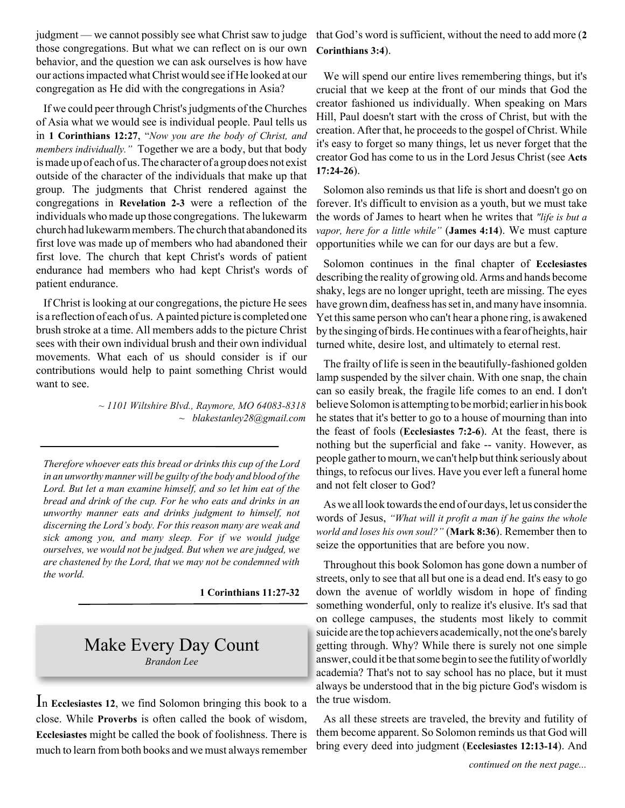judgment — we cannot possibly see what Christ saw to judge those congregations. But what we can reflect on is our own behavior, and the question we can ask ourselves is how have our actionsimpactedwhatChristwould see ifHe looked at our congregation as He did with the congregations in Asia?

If we could peer through Christ's judgments of the Churches of Asia what we would see is individual people. Paul tells us in **1 Corinthians 12:27**, "*Now you are the body of Christ, and members individually."* Together we are a body, but that body ismade up of each of us.The character of a group does not exist outside of the character of the individuals that make up that group. The judgments that Christ rendered against the congregations in **Revelation 2-3** were a reflection of the individuals who made up those congregations. The lukewarm church had lukewarm members. The church that abandoned its first love was made up of members who had abandoned their first love. The church that kept Christ's words of patient endurance had members who had kept Christ's words of patient endurance.

If Christ islooking at our congregations, the picture He sees is a reflection of each of us. Apainted picture is completed one brush stroke at a time. All members adds to the picture Christ sees with their own individual brush and their own individual movements. What each of us should consider is if our contributions would help to paint something Christ would want to see.

> *~ 1101 Wiltshire Blvd., Raymore, MO 64083-8318 ~ blakestanley28@gmail.com*

*Therefore whoever eats this bread or drinks this cup of the Lord in an unworthy mannerwill be guilty of the body and blood of the Lord. But let a man examine himself, and so let him eat of the bread and drink of the cup. For he who eats and drinks in an unworthy manner eats and drinks judgment to himself, not discerning the Lord's body. For this reason many are weak and sick among you, and many sleep. For if we would judge ourselves, we would not be judged. But when we are judged, we are chastened by the Lord, that we may not be condemned with the world.*

**1 Corinthians 11:27-32**

#### Make Every Day Count *Brandon Lee*

In **Ecclesiastes <sup>12</sup>**, we find Solomon bringing this book to <sup>a</sup> close. While **Proverbs** is often called the book of wisdom, **Ecclesiastes** might be called the book of foolishness. There is much to learn from both books and we must always remember

that God's word is sufficient, without the need to add more (**2 Corinthians 3:4**).

We will spend our entire lives remembering things, but it's crucial that we keep at the front of our minds that God the creator fashioned us individually. When speaking on Mars Hill, Paul doesn't start with the cross of Christ, but with the creation. After that, he proceeds to the gospel of Christ. While it's easy to forget so many things, let us never forget that the creator God has come to us in the Lord Jesus Christ (see **Acts 17:24-26**).

Solomon also reminds us that life is short and doesn't go on forever. It's difficult to envision as a youth, but we must take the words of James to heart when he writes that *"life is but a vapor, here for a little while"* (**James 4:14**). We must capture opportunities while we can for our days are but a few.

Solomon continues in the final chapter of **Ecclesiastes** describing the reality of growing old. Arms and hands become shaky, legs are no longer upright, teeth are missing. The eyes have grown dim, deafness has set in, and many have insomnia. Yet thissame person who can't hear a phone ring, is awakened by the singing of birds. He continues with a fear of heights, hair turned white, desire lost, and ultimately to eternal rest.

The frailty of life is seen in the beautifully-fashioned golden lamp suspended by the silver chain. With one snap, the chain can so easily break, the fragile life comes to an end. I don't believe Solomon is attempting to be morbid; earlier in his book he states that it's better to go to a house of mourning than into the feast of fools (**Ecclesiastes 7:2-6**). At the feast, there is nothing but the superficial and fake -- vanity. However, as people gather to mourn, we can't help but think seriously about things, to refocus our lives. Have you ever left a funeral home and not felt closer to God?

As we all look towards the end of our days, let us consider the words of Jesus, *"What will it profit a man if he gains the whole world and loses his own soul?"* (**Mark 8:36**). Remember then to seize the opportunities that are before you now.

Throughout this book Solomon has gone down a number of streets, only to see that all but one is a dead end. It's easy to go down the avenue of worldly wisdom in hope of finding something wonderful, only to realize it's elusive. It's sad that on college campuses, the students most likely to commit suicide are the top achievers academically, not the one's barely getting through. Why? While there is surely not one simple answer, could it be that some begin to see the futility of worldly academia? That's not to say school has no place, but it must always be understood that in the big picture God's wisdom is the true wisdom.

As all these streets are traveled, the brevity and futility of them become apparent. So Solomon reminds us that God will bring every deed into judgment (**Ecclesiastes 12:13-14**). And